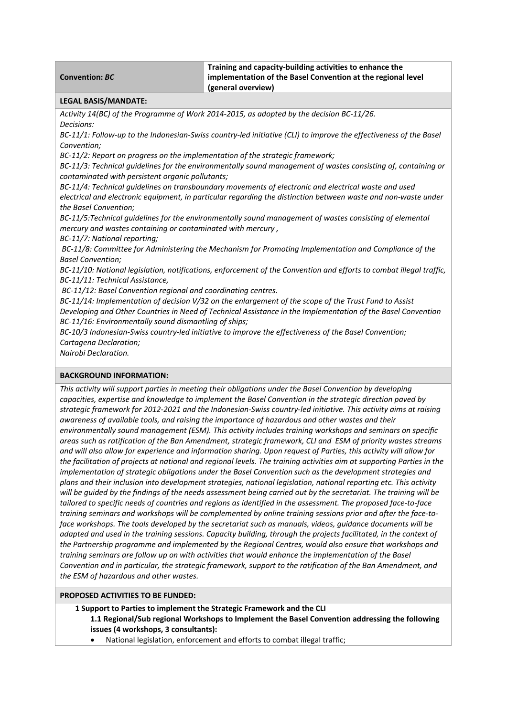| <b>Convention: BC</b>                                                                                                                                             | Training and capacity-building activities to enhance the<br>implementation of the Basel Convention at the regional level |  |  |
|-------------------------------------------------------------------------------------------------------------------------------------------------------------------|--------------------------------------------------------------------------------------------------------------------------|--|--|
| (general overview)                                                                                                                                                |                                                                                                                          |  |  |
| <b>LEGAL BASIS/MANDATE:</b>                                                                                                                                       |                                                                                                                          |  |  |
| Activity 14(BC) of the Programme of Work 2014-2015, as adopted by the decision BC-11/26.<br>Decisions:                                                            |                                                                                                                          |  |  |
| BC-11/1: Follow-up to the Indonesian-Swiss country-led initiative (CLI) to improve the effectiveness of the Basel                                                 |                                                                                                                          |  |  |
| Convention;                                                                                                                                                       |                                                                                                                          |  |  |
| BC-11/2: Report on progress on the implementation of the strategic framework;                                                                                     |                                                                                                                          |  |  |
| BC-11/3: Technical guidelines for the environmentally sound management of wastes consisting of, containing or<br>contaminated with persistent organic pollutants; |                                                                                                                          |  |  |
| BC-11/4: Technical guidelines on transboundary movements of electronic and electrical waste and used                                                              |                                                                                                                          |  |  |
| electrical and electronic equipment, in particular regarding the distinction between waste and non-waste under                                                    |                                                                                                                          |  |  |
| the Basel Convention;                                                                                                                                             |                                                                                                                          |  |  |
| BC-11/5:Technical guidelines for the environmentally sound management of wastes consisting of elemental                                                           |                                                                                                                          |  |  |
| mercury and wastes containing or contaminated with mercury,                                                                                                       |                                                                                                                          |  |  |
| BC-11/7: National reporting;                                                                                                                                      |                                                                                                                          |  |  |
| BC-11/8: Committee for Administering the Mechanism for Promoting Implementation and Compliance of the                                                             |                                                                                                                          |  |  |
| <b>Basel Convention;</b>                                                                                                                                          |                                                                                                                          |  |  |
| BC-11/10: National legislation, notifications, enforcement of the Convention and efforts to combat illegal traffic,<br>BC-11/11: Technical Assistance,            |                                                                                                                          |  |  |
| BC-11/12: Basel Convention regional and coordinating centres.                                                                                                     |                                                                                                                          |  |  |
| BC-11/14: Implementation of decision V/32 on the enlargement of the scope of the Trust Fund to Assist                                                             |                                                                                                                          |  |  |
| Developing and Other Countries in Need of Technical Assistance in the Implementation of the Basel Convention                                                      |                                                                                                                          |  |  |
| BC-11/16: Environmentally sound dismantling of ships;                                                                                                             |                                                                                                                          |  |  |
| BC-10/3 Indonesian-Swiss country-led initiative to improve the effectiveness of the Basel Convention;                                                             |                                                                                                                          |  |  |
| Cartagena Declaration;                                                                                                                                            |                                                                                                                          |  |  |
| Nairobi Declaration.                                                                                                                                              |                                                                                                                          |  |  |
|                                                                                                                                                                   |                                                                                                                          |  |  |
| <b>BACKGROUND INFORMATION:</b>                                                                                                                                    |                                                                                                                          |  |  |
|                                                                                                                                                                   | This activity will synnart partias in meating their obligations under the Dasal Convention by developing                 |  |  |

*This activity will support parties in meeting their obligations under the Basel Convention by developing capacities, expertise and knowledge to implement the Basel Convention in the strategic direction paved by* strategic framework for 2012-2021 and the Indonesian-Swiss country-led initiative. This activity aims at raising *awareness of available tools, and raising the importance of hazardous and other wastes and their environmentally sound management (ESM). This activity includes training workshops and seminars on specific* areas such as ratification of the Ban Amendment, strategic framework, CLI and ESM of priority wastes streams and will also allow for experience and information sharing. Upon request of Parties, this activity will allow for the facilitation of projects at national and regional levels. The training activities aim at supporting Parties in the *implementation of strategic obligations under the Basel Convention such as the development strategies and plans and their inclusion into development strategies, national legislation, national reporting etc. This activity* will be quided by the findings of the needs assessment being carried out by the secretariat. The training will be tailored to specific needs of countries and regions as identified in the assessment. The proposed face-to-face training seminars and workshops will be complemented by online training sessions prior and after the face-to*face workshops. The tools developed by the secretariat such as manuals, videos, guidance documents will be* adapted and used in the training sessions. Capacity building, through the projects facilitated, in the context of *the Partnership programme and implemented by the Regional Centres, would also ensure that workshops and training seminars are follow up on with activities that would enhance the implementation of the Basel Convention and in particular, the strategic framework, support to the ratification of the Ban Amendment, and the ESM of hazardous and other wastes.*

#### **PROPOSED ACTIVITIES TO BE FUNDED:**

**1 Support to Parties to implement the Strategic Framework and the CLI 1.1 Regional/Sub regional Workshops to Implement the Basel Convention addressing the following issues (4 workshops, 3 consultants):**

National legislation, enforcement and efforts to combat illegal traffic;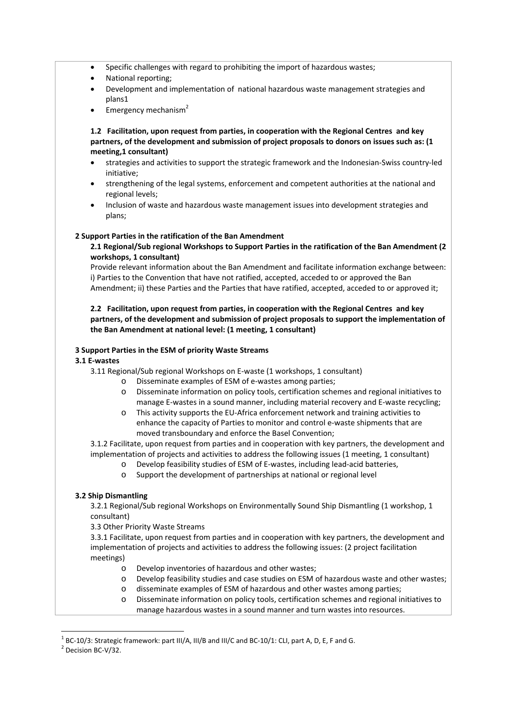- Specific challenges with regard to prohibiting the import of hazardous wastes;
- National reporting;
- Development and implementation of national hazardous waste management strategies and plans1
- Emergency mechanism $2$

**1.2 Facilitation, upon request from parties, in cooperation with the Regional Centres and key partners, of the development and submission of project proposals to donors on issues such as: (1 meeting,1 consultant)**

- strategies and activities to support the strategic framework and the Indonesian‐Swiss country‐led initiative;
- strengthening of the legal systems, enforcement and competent authorities at the national and regional levels;
- Inclusion of waste and hazardous waste management issues into development strategies and plans;

#### **2 Support Parties in the ratification of the Ban Amendment**

**2.1 Regional/Sub regional Workshops to Support Parties in the ratification of the Ban Amendment (2 workshops, 1 consultant)**

Provide relevant information about the Ban Amendment and facilitate information exchange between: i) Parties to the Convention that have not ratified, accepted, acceded to or approved the Ban Amendment; ii) these Parties and the Parties that have ratified, accepted, acceded to or approved it;

**2.2 Facilitation, upon request from parties, in cooperation with the Regional Centres and key partners, of the development and submission of project proposals to support the implementation of the Ban Amendment at national level: (1 meeting, 1 consultant)**

#### **3 Support Parties in the ESM of priority Waste Streams**

### **3.1 E‐wastes**

3.11 Regional/Sub regional Workshops on E‐waste (1 workshops, 1 consultant)

- o Disseminate examples of ESM of e‐wastes among parties;
	- o Disseminate information on policy tools, certification schemes and regional initiatives to manage E‐wastes in a sound manner, including material recovery and E‐waste recycling;
	- o This activity supports the EU‐Africa enforcement network and training activities to enhance the capacity of Parties to monitor and control e-waste shipments that are moved transboundary and enforce the Basel Convention;

3.1.2 Facilitate, upon request from parties and in cooperation with key partners, the development and implementation of projects and activities to address the following issues (1 meeting, 1 consultant)

- o Develop feasibility studies of ESM of E‐wastes, including lead‐acid batteries,
- o Support the development of partnerships at national or regional level

## **3.2 Ship Dismantling**

3.2.1 Regional/Sub regional Workshops on Environmentally Sound Ship Dismantling (1 workshop, 1 consultant)

3.3 Other Priority Waste Streams

3.3.1 Facilitate, upon request from parties and in cooperation with key partners, the development and implementation of projects and activities to address the following issues: (2 project facilitation meetings)

- o Develop inventories of hazardous and other wastes;
- o Develop feasibility studies and case studies on ESM of hazardous waste and other wastes;
- o disseminate examples of ESM of hazardous and other wastes among parties;
- o Disseminate information on policy tools, certification schemes and regional initiatives to manage hazardous wastes in a sound manner and turn wastes into resources.

<sup>&</sup>lt;sup>1</sup> BC-10/3: Strategic framework: part III/A, III/B and III/C and BC-10/1: CLI, part A, D, E, F and G.<br><sup>2</sup> Decision BC-V/32.